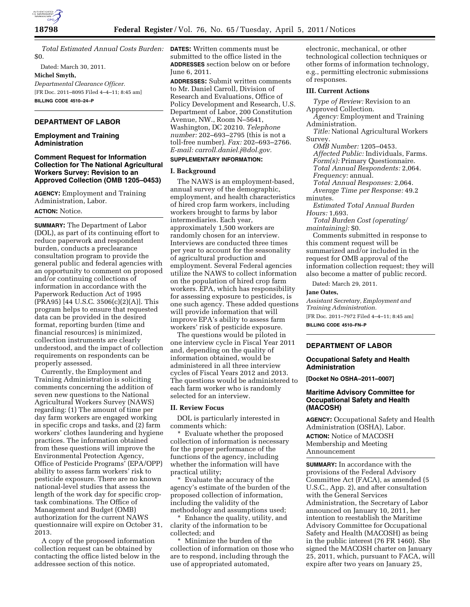

*Total Estimated Annual Costs Burden:*  **DATES:** Written comments must be \$0.

Dated: March 30, 2011. **Michel Smyth,**  *Departmental Clearance Officer.*  [FR Doc. 2011–8095 Filed 4–4–11; 8:45 am] **BILLING CODE 4510–24–P** 

## **DEPARTMENT OF LABOR**

### **Employment and Training Administration**

### **Comment Request for Information Collection for The National Agricultural Workers Survey: Revision to an Approved Collection (OMB 1205–0453)**

**AGENCY:** Employment and Training Administration, Labor.

## **ACTION:** Notice.

**SUMMARY:** The Department of Labor (DOL), as part of its continuing effort to reduce paperwork and respondent burden, conducts a preclearance consultation program to provide the general public and federal agencies with an opportunity to comment on proposed and/or continuing collections of information in accordance with the Paperwork Reduction Act of 1995 (PRA95) [44 U.S.C. 3506(c)(2)(A)]. This program helps to ensure that requested data can be provided in the desired format, reporting burden (time and financial resources) is minimized, collection instruments are clearly understood, and the impact of collection requirements on respondents can be properly assessed.

Currently, the Employment and Training Administration is soliciting comments concerning the addition of seven new questions to the National Agricultural Workers Survey (NAWS) regarding: (1) The amount of time per day farm workers are engaged working in specific crops and tasks, and (2) farm workers' clothes laundering and hygiene practices. The information obtained from these questions will improve the Environmental Protection Agency, Office of Pesticide Programs' (EPA/OPP) ability to assess farm workers' risk to pesticide exposure. There are no known national-level studies that assess the length of the work day for specific croptask combinations. The Office of Management and Budget (OMB) authorization for the current NAWS questionnaire will expire on October 31, 2013.

A copy of the proposed information collection request can be obtained by contacting the office listed below in the addressee section of this notice.

submitted to the office listed in the **ADDRESSES** section below on or before June 6, 2011.

**ADDRESSES:** Submit written comments to Mr. Daniel Carroll, Division of Research and Evaluations, Office of Policy Development and Research, U.S. Department of Labor, 200 Constitution Avenue, NW., Room N–5641, Washington, DC 20210. *Telephone number:* 202–693–2795 (this is not a toll-free number). *Fax:* 202–693–2766. *E-mail: [carroll.daniel.j@dol.gov.](mailto:carroll.daniel.j@dol.gov)* 

# **SUPPLEMENTARY INFORMATION:**

### **I. Background**

The NAWS is an employment-based, annual survey of the demographic, employment, and health characteristics of hired crop farm workers, including workers brought to farms by labor intermediaries. Each year, approximately 1,500 workers are randomly chosen for an interview. Interviews are conducted three times per year to account for the seasonality of agricultural production and employment. Several Federal agencies utilize the NAWS to collect information on the population of hired crop farm workers. EPA, which has responsibility for assessing exposure to pesticides, is one such agency. These added questions will provide information that will improve EPA's ability to assess farm workers' risk of pesticide exposure.

The questions would be piloted in one interview cycle in Fiscal Year 2011 and, depending on the quality of information obtained, would be administered in all three interview cycles of Fiscal Years 2012 and 2013. The questions would be administered to each farm worker who is randomly selected for an interview.

### **II. Review Focus**

DOL is particularly interested in comments which:

Evaluate whether the proposed collection of information is necessary for the proper performance of the functions of the agency, including whether the information will have practical utility;

\* Evaluate the accuracy of the agency's estimate of the burden of the proposed collection of information, including the validity of the methodology and assumptions used;

\* Enhance the quality, utility, and clarity of the information to be collected; and

\* Minimize the burden of the collection of information on those who are to respond, including through the use of appropriated automated,

electronic, mechanical, or other technological collection techniques or other forms of information technology, e.g., permitting electronic submissions of responses.

### **III. Current Actions**

*Type of Review:* Revision to an Approved Collection.

*Agency:* Employment and Training Administration.

*Title:* National Agricultural Workers Survey.

*OMB Number:* 1205–0453. *Affected Public:* Individuals, Farms. *Form(s):* Primary Questionnaire. *Total Annual Respondents:* 2,064. *Frequency:* annual. *Total Annual Responses:* 2,064.

*Average Time per Response:* 49.2 minutes.

*Estimated Total Annual Burden Hours:* 1,693.

*Total Burden Cost (operating/ maintaining):* \$0.

Comments submitted in response to this comment request will be summarized and/or included in the request for OMB approval of the information collection request; they will also become a matter of public record.

Dated: March 29, 2011.

### **Jane Oates,**

*Assistant Secretary, Employment and Training Administration.* 

[FR Doc. 2011–7972 Filed 4–4–11; 8:45 am] **BILLING CODE 4510–FN–P** 

# **DEPARTMENT OF LABOR**

### **Occupational Safety and Health Administration**

**[Docket No OSHA–2011–0007]** 

## **Maritime Advisory Committee for Occupational Safety and Health (MACOSH)**

**AGENCY:** Occupational Safety and Health Administration (OSHA), Labor.

**ACTION:** Notice of MACOSH Membership and Meeting Announcement

**SUMMARY:** In accordance with the provisions of the Federal Advisory Committee Act (FACA), as amended (5 U.S.C., App. 2), and after consultation with the General Services Administration, the Secretary of Labor announced on January 10, 2011, her intention to reestablish the Maritime Advisory Committee for Occupational Safety and Health (MACOSH) as being in the public interest (76 FR 1460). She signed the MACOSH charter on January 25, 2011, which, pursuant to FACA, will expire after two years on January 25,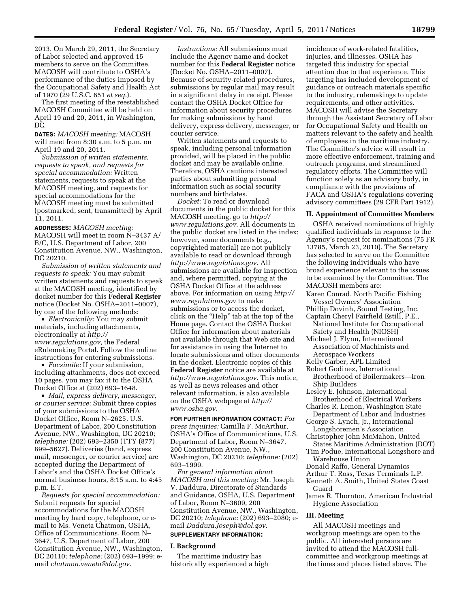2013. On March 29, 2011, the Secretary of Labor selected and approved 15 members to serve on the Committee. MACOSH will contribute to OSHA's performance of the duties imposed by the Occupational Safety and Health Act of 1970 (29 U.S.C. 651 *et seq.*).

The first meeting of the reestablished MACOSH Committee will be held on April 19 and 20, 2011, in Washington, DC.

**DATES:** *MACOSH meeting:* MACOSH will meet from 8:30 a.m. to 5 p.m. on April 19 and 20, 2011.

*Submission of written statements, requests to speak, and requests for special accommodation:* Written statements, requests to speak at the MACOSH meeting, and requests for special accommodations for the MACOSH meeting must be submitted (postmarked, sent, transmitted) by April 11, 2011.

**ADDRESSES:** *MACOSH meeting:*  MACOSH will meet in room N–3437 A/ B/C, U.S. Department of Labor, 200 Constitution Avenue, NW., Washington, DC 20210.

*Submission of written statements and requests to speak:* You may submit written statements and requests to speak at the MACOSH meeting, identified by docket number for this **Federal Register**  notice (Docket No. OSHA–2011–0007), by one of the following methods:

• *Electronically:* You may submit materials, including attachments, electronically at *[http://](http://www.regulations.gov) [www.regulations.gov,](http://www.regulations.gov)* the Federal eRulemaking Portal. Follow the online instructions for entering submissions.

• *Facsimile:* If your submission, including attachments, does not exceed 10 pages, you may fax it to the OSHA Docket Office at (202) 693–1648.

• *Mail, express delivery, messenger, or courier service:* Submit three copies of your submissions to the OSHA Docket Office, Room N–2625, U.S. Department of Labor, 200 Constitution Avenue, NW., Washington, DC 20210; *telephone:* (202) 693–2350 (TTY (877) 899–5627). Deliveries (hand, express mail, messenger, or courier service) are accepted during the Department of Labor's and the OSHA Docket Office's normal business hours, 8:15 a.m. to 4:45 p.m. E.T.

*Requests for special accommodation:*  Submit requests for special accommodations for the MACOSH meeting by hard copy, telephone, or email to Ms. Veneta Chatmon, OSHA, Office of Communications, Room N– 3647, U.S. Department of Labor, 200 Constitution Avenue, NW., Washington, DC 20110; *telephone:* (202) 693–1999; email *[chatmon.veneta@dol.gov.](mailto:chatmon.veneta@dol.gov)* 

*Instructions:* All submissions must include the Agency name and docket number for this **Federal Register** notice (Docket No. OSHA–2011–0007). Because of security-related procedures, submissions by regular mail may result in a significant delay in receipt. Please contact the OSHA Docket Office for information about security procedures for making submissions by hand delivery, express delivery, messenger, or courier service.

Written statements and requests to speak, including personal information provided, will be placed in the public docket and may be available online. Therefore, OSHA cautions interested parties about submitting personal information such as social security numbers and birthdates.

*Docket:* To read or download documents in the public docket for this MACOSH meeting, go to *[http://](http://www.regulations.gov) [www.regulations.gov.](http://www.regulations.gov)* All documents in the public docket are listed in the index; however, some documents (e.g., copyrighted material) are not publicly available to read or download through *[http://www.regulations.gov.](http://www.regulations.gov)* All submissions are available for inspection and, where permitted, copying at the OSHA Docket Office at the address above. For information on using *[http://](http://www.regulations.gov) [www.regulations.gov](http://www.regulations.gov)* to make submissions or to access the docket, click on the ''Help'' tab at the top of the Home page. Contact the OSHA Docket Office for information about materials not available through that Web site and for assistance in using the Internet to locate submissions and other documents in the docket. Electronic copies of this **Federal Register** notice are available at *[http://www.regulations.gov.](http://www.regulations.gov)* This notice, as well as news releases and other relevant information, is also available on the OSHA webpage at *[http://](http://www.osha.gov) [www.osha.gov.](http://www.osha.gov)* 

**FOR FURTHER INFORMATION CONTACT:** *For press inquiries:* Camilla F. McArthur, OSHA's Office of Communications, U.S. Department of Labor, Room N–3647, 200 Constitution Avenue, NW., Washington, DC 20210; *telephone:* (202) 693–1999.

*For general information about MACOSH and this meeting:* Mr. Joseph V. Daddura, Directorate of Standards and Guidance, OSHA, U.S. Department of Labor, Room N–3609, 200 Constitution Avenue, NW., Washington, DC 20210; *telephone:* (202) 693–2080; email *[Daddura.Joseph@dol.gov.](mailto:Daddura.Joseph@dol.gov)*  **SUPPLEMENTARY INFORMATION:** 

### **I. Background**

The maritime industry has historically experienced a high

incidence of work-related fatalities, injuries, and illnesses. OSHA has targeted this industry for special attention due to that experience. This targeting has included development of guidance or outreach materials specific to the industry, rulemakings to update requirements, and other activities. MACOSH will advise the Secretary through the Assistant Secretary of Labor for Occupational Safety and Health on matters relevant to the safety and health of employees in the maritime industry. The Committee's advice will result in more effective enforcement, training and outreach programs, and streamlined regulatory efforts. The Committee will function solely as an advisory body, in compliance with the provisions of FACA and OSHA's regulations covering advisory committees (29 CFR Part 1912).

### **II. Appointment of Committee Members**

OSHA received nominations of highly qualified individuals in response to the Agency's request for nominations (75 FR 13785, March 23, 2010). The Secretary has selected to serve on the Committee the following individuals who have broad experience relevant to the issues to be examined by the Committee. The MACOSH members are:

- Karen Conrad, North Pacific Fishing Vessel Owners' Association
- Phillip Dovinh, Sound Testing, Inc. Captain Cheryl Fairfield Estill, P.E.,
- National Institute for Occupational Safety and Health (NIOSH)
- Michael J. Flynn, International Association of Machinists and Aerospace Workers
- Kelly Garber, APL Limited
- Robert Godinez, International Brotherhood of Boilermakers—Iron Ship Builders
- Lesley E. Johnson, International
- Brotherhood of Electrical Workers Charles R. Lemon, Washington State
- Department of Labor and Industries George S. Lynch, Jr., International
- Longshoremen's Association Christopher John McMahon, United
- States Maritime Administration (DOT) Tim Podue, International Longshore and
- Warehouse Union
- Donald Raffo, General Dynamics Arthur T. Ross, Texas Terminals L.P.
- Kenneth A. Smith, United States Coast Guard
- James R. Thornton, American Industrial Hygiene Association

### **III. Meeting**

All MACOSH meetings and workgroup meetings are open to the public. All interested persons are invited to attend the MACOSH fullcommittee and workgroup meetings at the times and places listed above. The